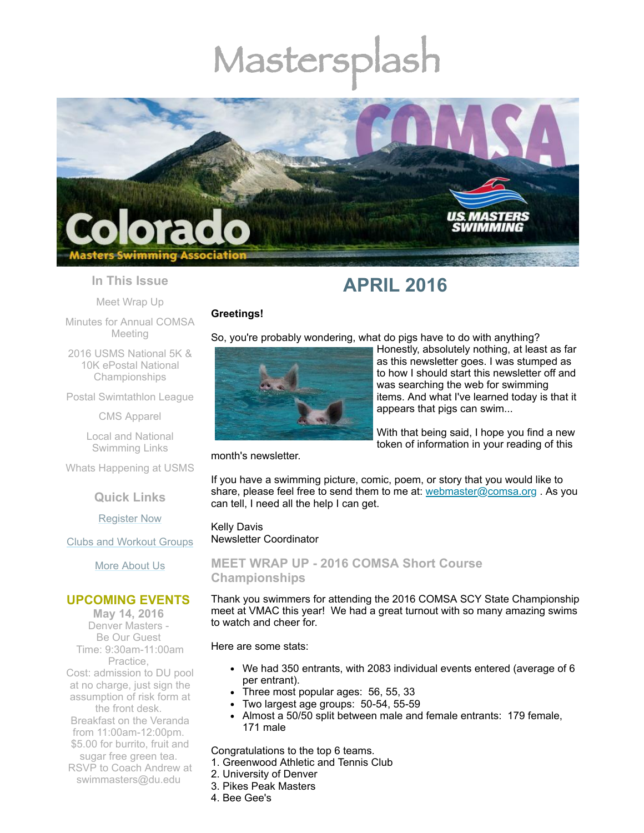# Mastersplash



#### **In This Issue**

Meet [Wrap](#page-0-0) Up

Minutes for Annual [COMSA](#page-1-0) Meeting

2016 USMS National 5K & 10K ePostal National [Championships](#page-1-1)

Postal [Swimtathlon](#page-1-2) League

CMS [Apparel](#page-2-0)

Local and National [Swimming](#page-2-1) Links

Whats [Happening](#page-2-2) at USMS

**Quick Links**

[Register](http://comsa.org/joining/index.html) Now

Clubs and [Workout](http://comsa.org/clubs/index.html) Groups

More [About](http://comsa.org/) Us

#### **UPCOMING EVENTS**

**May 14, 2016** Denver Masters - Be Our Guest Time: 9:30am-11:00am Practice, Cost: admission to DU pool at no charge, just sign the assumption of risk form at the front desk. Breakfast on the Veranda from 11:00am-12:00pm. \$5.00 for burrito, fruit and sugar free green tea. RSVP to Coach Andrew at [swimmasters@du.edu](mailto:swimmasters@du.edu)



# **APRIL 2016**

So, you're probably wondering, what do pigs have to do with anything?

Honestly, absolutely nothing, at least as far as this newsletter goes. I was stumped as to how I should start this newsletter off and was searching the web for swimming items. And what I've learned today is that it appears that pigs can swim...

With that being said, I hope you find a new token of information in your reading of this

#### month's newsletter.

**Greetings!**

If you have a swimming picture, comic, poem, or story that you would like to share, please feel free to send them to me at: [webmaster@comsa.org](mailto:webmaster@comsa.org?subject=Newsletter%20Items). As you can tell, I need all the help I can get.

Kelly Davis Newsletter Coordinator

<span id="page-0-0"></span>**MEET WRAP UP - 2016 COMSA Short Course Championships**

Thank you swimmers for attending the 2016 COMSA SCY State Championship meet at VMAC this year! We had a great turnout with so many amazing swims to watch and cheer for.

Here are some stats:

- We had 350 entrants, with 2083 individual events entered (average of 6 per entrant).
- Three most popular ages: 56, 55, 33
- Two largest age groups: 50-54, 55-59
- Almost a 50/50 split between male and female entrants: 179 female, 171 male

Congratulations to the top 6 teams.

- 1. Greenwood Athletic and Tennis Club
- 2. University of Denver
- 3. Pikes Peak Masters
- 4. Bee Gee's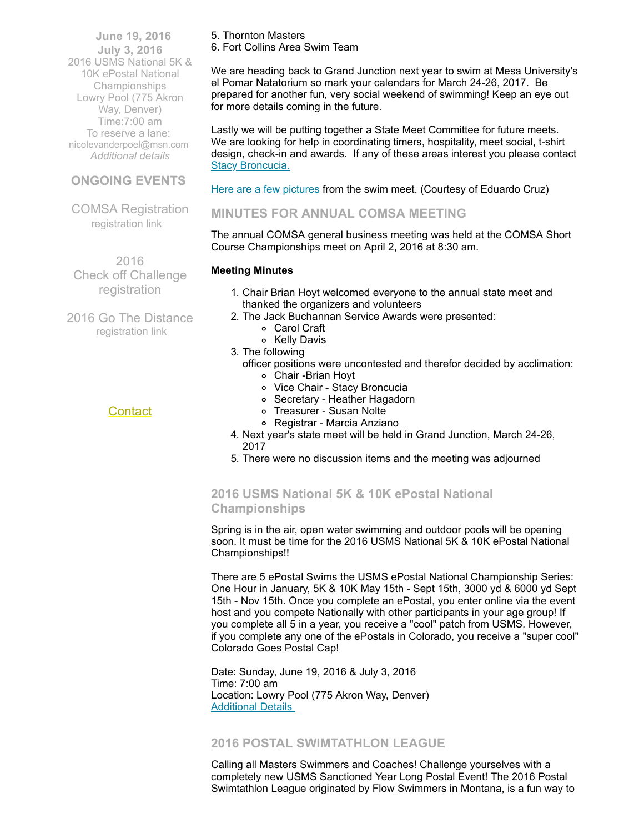**June 19, 2016 July 3, 2016** 2016 USMS National 5K & 10K ePostal National Championships Lowry Pool (775 Akron Way, Denver) Time:7:00 am To reserve a lane: [nicolevanderpoel@msn.com](mailto:nicolevanderpoel@msn.com) *[Additional](http://www.comsa.org/events/2016/2016%205K%20and%2010K%20postal%20National%20Champioships.pdf) details*

# **ONGOING EVENTS**

COMSA Registration [registration](http://www.comsa.org/joining/index.html) link

 2016 Check off Challenge [registration](http://www.usms.org/fitness/content/checkoff)

2016 Go The Distance [registration](http://www.usms.org/fitness/content/gothedistance) link

## **[Contact](mailto:swimkdavis@gmail.com)**

5. Thornton Masters

6. Fort Collins Area Swim Team

We are heading back to Grand Junction next year to swim at Mesa University's el Pomar Natatorium so mark your calendars for March 24-26, 2017. Be prepared for another fun, very social weekend of swimming! Keep an eye out for more details coming in the future.

Lastly we will be putting together a State Meet Committee for future meets. We are looking for help in coordinating timers, hospitality, meet social, t-shirt design, check-in and awards. If any of these areas interest you please contact Stacy [Broncucia.](mailto:sbroncucia@gmail.com)

Here are a few [pictures](http://www.comsa.org/events/2016/2016COMSA_Gallery.html) from the swim meet. (Courtesy of Eduardo Cruz)

# <span id="page-1-0"></span>**MINUTES FOR ANNUAL COMSA MEETING**

The annual COMSA general business meeting was held at the COMSA Short Course Championships meet on April 2, 2016 at 8:30 am.

#### **Meeting Minutes**

- 1. Chair Brian Hoyt welcomed everyone to the annual state meet and thanked the organizers and volunteers
- 2. The Jack Buchannan Service Awards were presented:
	- Carol Craft
	- o Kelly Davis
- 3. The following
	- officer positions were uncontested and therefor decided by acclimation: Chair -Brian Hoyt
		- Vice Chair Stacy Broncucia
		- Secretary Heather Hagadorn
		- Treasurer Susan Nolte
		- Registrar Marcia Anziano
- 4. Next year's state meet will be held in Grand Junction, March 24-26, 2017
- 5. There were no discussion items and the meeting was adjourned

# <span id="page-1-1"></span>**2016 USMS National 5K & 10K ePostal National Championships**

Spring is in the air, open water swimming and outdoor pools will be opening soon. It must be time for the 2016 USMS National 5K & 10K ePostal National Championships!!

There are 5 ePostal Swims the USMS ePostal National Championship Series: One Hour in January, 5K & 10K May 15th - Sept 15th, 3000 yd & 6000 yd Sept 15th - Nov 15th. Once you complete an ePostal, you enter online via the event host and you compete Nationally with other participants in your age group! If you complete all 5 in a year, you receive a "cool" patch from USMS. However, if you complete any one of the ePostals in Colorado, you receive a "super cool" Colorado Goes Postal Cap!

Date: Sunday, June 19, 2016 & July 3, 2016 Time: 7:00 am Location: Lowry Pool (775 Akron Way, Denver) [Additional](http://www.comsa.org/events/2016/2016%205K%20and%2010K%20postal%20National%20Champioships.pdf) Details

## <span id="page-1-2"></span>**2016 POSTAL SWIMTATHLON LEAGUE**

Calling all Masters Swimmers and Coaches! Challenge yourselves with a completely new USMS Sanctioned Year Long Postal Event! The 2016 Postal Swimtathlon League originated by Flow Swimmers in Montana, is a fun way to